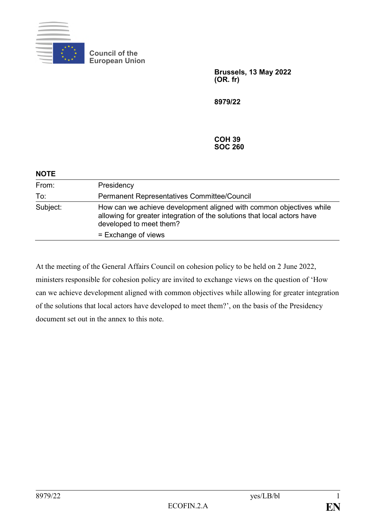

**Council of the European Union**

> **Brussels, 13 May 2022 (OR. fr)**

**8979/22**

**COH 39 SOC 260**

| <b>NOTE</b> |                                                                                                                                                                            |
|-------------|----------------------------------------------------------------------------------------------------------------------------------------------------------------------------|
| From:       | Presidency                                                                                                                                                                 |
| To:         | <b>Permanent Representatives Committee/Council</b>                                                                                                                         |
| Subject:    | How can we achieve development aligned with common objectives while<br>allowing for greater integration of the solutions that local actors have<br>developed to meet them? |
|             | = Exchange of views                                                                                                                                                        |

At the meeting of the General Affairs Council on cohesion policy to be held on 2 June 2022, ministers responsible for cohesion policy are invited to exchange views on the question of 'How can we achieve development aligned with common objectives while allowing for greater integration of the solutions that local actors have developed to meet them?', on the basis of the Presidency document set out in the annex to this note.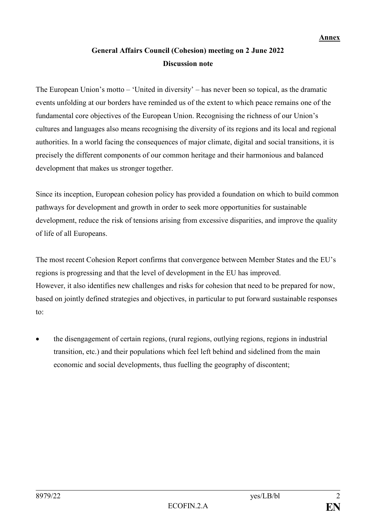## **General Affairs Council (Cohesion) meeting on 2 June 2022 Discussion note**

The European Union's motto – 'United in diversity' – has never been so topical, as the dramatic events unfolding at our borders have reminded us of the extent to which peace remains one of the fundamental core objectives of the European Union. Recognising the richness of our Union's cultures and languages also means recognising the diversity of its regions and its local and regional authorities. In a world facing the consequences of major climate, digital and social transitions, it is precisely the different components of our common heritage and their harmonious and balanced development that makes us stronger together.

Since its inception, European cohesion policy has provided a foundation on which to build common pathways for development and growth in order to seek more opportunities for sustainable development, reduce the risk of tensions arising from excessive disparities, and improve the quality of life of all Europeans.

The most recent Cohesion Report confirms that convergence between Member States and the EU's regions is progressing and that the level of development in the EU has improved. However, it also identifies new challenges and risks for cohesion that need to be prepared for now, based on jointly defined strategies and objectives, in particular to put forward sustainable responses to:

• the disengagement of certain regions, (rural regions, outlying regions, regions in industrial transition, etc.) and their populations which feel left behind and sidelined from the main economic and social developments, thus fuelling the geography of discontent;